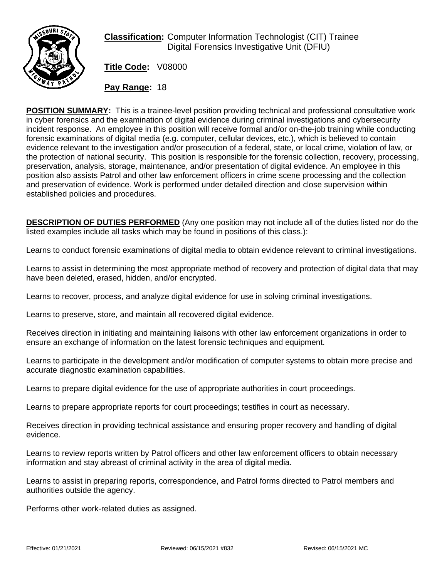

**Classification:** Computer Information Technologist (CIT) Trainee Digital Forensics Investigative Unit (DFIU)

**Title Code:** V08000

**Pay Range:** 18

**POSITION SUMMARY:** This is a trainee-level position providing technical and professional consultative work in cyber forensics and the examination of digital evidence during criminal investigations and cybersecurity incident response. An employee in this position will receive formal and/or on-the-job training while conducting forensic examinations of digital media (e.g. computer, cellular devices, etc.), which is believed to contain evidence relevant to the investigation and/or prosecution of a federal, state, or local crime, violation of law, or the protection of national security. This position is responsible for the forensic collection, recovery, processing, preservation, analysis, storage, maintenance, and/or presentation of digital evidence. An employee in this position also assists Patrol and other law enforcement officers in crime scene processing and the collection and preservation of evidence. Work is performed under detailed direction and close supervision within established policies and procedures.

**DESCRIPTION OF DUTIES PERFORMED** (Any one position may not include all of the duties listed nor do the listed examples include all tasks which may be found in positions of this class.):

Learns to conduct forensic examinations of digital media to obtain evidence relevant to criminal investigations.

Learns to assist in determining the most appropriate method of recovery and protection of digital data that may have been deleted, erased, hidden, and/or encrypted.

Learns to recover, process, and analyze digital evidence for use in solving criminal investigations.

Learns to preserve, store, and maintain all recovered digital evidence.

Receives direction in initiating and maintaining liaisons with other law enforcement organizations in order to ensure an exchange of information on the latest forensic techniques and equipment.

Learns to participate in the development and/or modification of computer systems to obtain more precise and accurate diagnostic examination capabilities.

Learns to prepare digital evidence for the use of appropriate authorities in court proceedings.

Learns to prepare appropriate reports for court proceedings; testifies in court as necessary.

Receives direction in providing technical assistance and ensuring proper recovery and handling of digital evidence.

Learns to review reports written by Patrol officers and other law enforcement officers to obtain necessary information and stay abreast of criminal activity in the area of digital media.

Learns to assist in preparing reports, correspondence, and Patrol forms directed to Patrol members and authorities outside the agency.

Performs other work-related duties as assigned.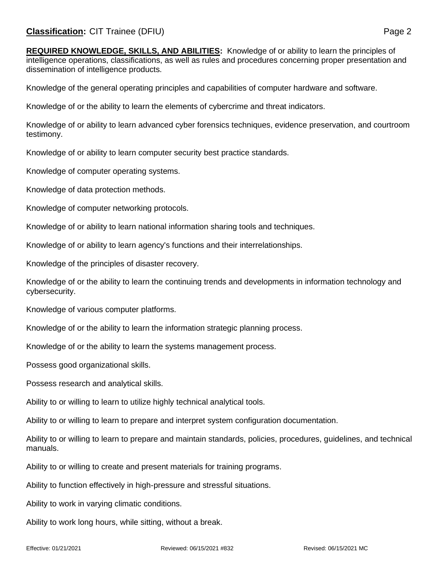**REQUIRED KNOWLEDGE, SKILLS, AND ABILITIES:** Knowledge of or ability to learn the principles of intelligence operations, classifications, as well as rules and procedures concerning proper presentation and dissemination of intelligence products.

Knowledge of the general operating principles and capabilities of computer hardware and software.

Knowledge of or the ability to learn the elements of cybercrime and threat indicators.

Knowledge of or ability to learn advanced cyber forensics techniques, evidence preservation, and courtroom testimony.

Knowledge of or ability to learn computer security best practice standards.

Knowledge of computer operating systems.

Knowledge of data protection methods.

Knowledge of computer networking protocols.

Knowledge of or ability to learn national information sharing tools and techniques.

Knowledge of or ability to learn agency's functions and their interrelationships.

Knowledge of the principles of disaster recovery.

Knowledge of or the ability to learn the continuing trends and developments in information technology and cybersecurity.

Knowledge of various computer platforms.

Knowledge of or the ability to learn the information strategic planning process.

Knowledge of or the ability to learn the systems management process.

Possess good organizational skills.

Possess research and analytical skills.

Ability to or willing to learn to utilize highly technical analytical tools.

Ability to or willing to learn to prepare and interpret system configuration documentation.

Ability to or willing to learn to prepare and maintain standards, policies, procedures, guidelines, and technical manuals.

Ability to or willing to create and present materials for training programs.

Ability to function effectively in high-pressure and stressful situations.

Ability to work in varying climatic conditions.

Ability to work long hours, while sitting, without a break.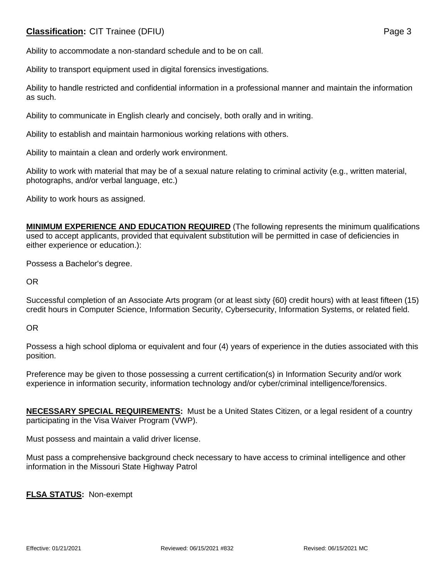## **Classification:** CIT Trainee (DFIU) **Page 3**

Ability to accommodate a non-standard schedule and to be on call.

Ability to transport equipment used in digital forensics investigations.

Ability to handle restricted and confidential information in a professional manner and maintain the information as such.

Ability to communicate in English clearly and concisely, both orally and in writing.

Ability to establish and maintain harmonious working relations with others.

Ability to maintain a clean and orderly work environment.

Ability to work with material that may be of a sexual nature relating to criminal activity (e.g., written material, photographs, and/or verbal language, etc.)

Ability to work hours as assigned.

**MINIMUM EXPERIENCE AND EDUCATION REQUIRED** (The following represents the minimum qualifications used to accept applicants, provided that equivalent substitution will be permitted in case of deficiencies in either experience or education.):

Possess a Bachelor's degree.

OR

Successful completion of an Associate Arts program (or at least sixty {60} credit hours) with at least fifteen (15) credit hours in Computer Science, Information Security, Cybersecurity, Information Systems, or related field.

OR

Possess a high school diploma or equivalent and four (4) years of experience in the duties associated with this position.

Preference may be given to those possessing a current certification(s) in Information Security and/or work experience in information security, information technology and/or cyber/criminal intelligence/forensics.

**NECESSARY SPECIAL REQUIREMENTS:** Must be a United States Citizen, or a legal resident of a country participating in the Visa Waiver Program (VWP).

Must possess and maintain a valid driver license.

Must pass a comprehensive background check necessary to have access to criminal intelligence and other information in the Missouri State Highway Patrol

**FLSA STATUS:** Non-exempt